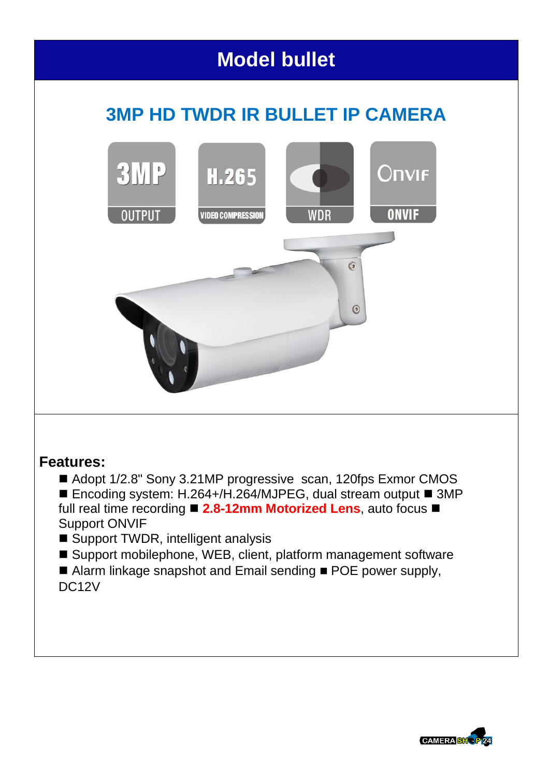## **Model bullet**

## **3MP HD TWDR IR BULLET IP CAMERA**



## **Features:**

- Adopt 1/2.8" Sony 3.21MP progressive scan, 120fps Exmor CMOS ■ Encoding system: H.264+/H.264/MJPEG, dual stream output ■ 3MP full real time recording **2.8-12mm Motorized Lens**, auto focus Support ONVIF
- Support TWDR, intelligent analysis
- Support mobilephone, WEB, client, platform management software
- Alarm linkage snapshot and Email sending  $\blacksquare$  POE power supply, DC12V

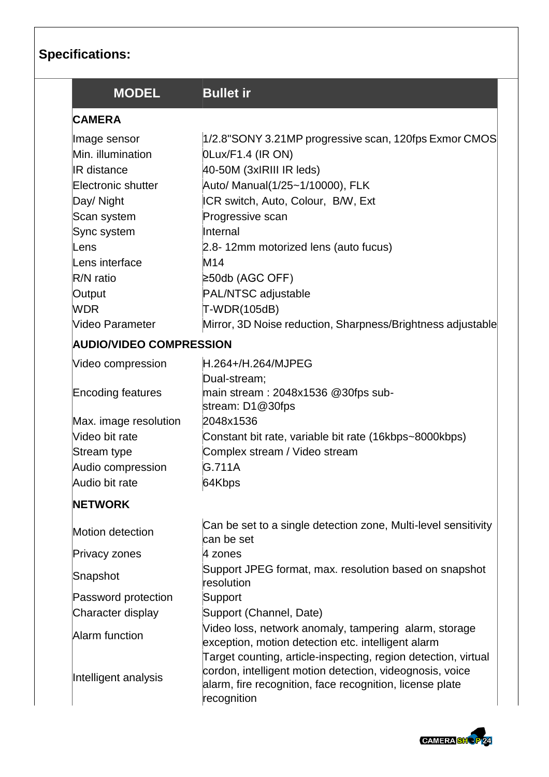| <b>Specifications:</b> |
|------------------------|
|------------------------|

| <b>MODEL</b>                   | <b>Bullet ir</b>                                                                                                                                                                                      |
|--------------------------------|-------------------------------------------------------------------------------------------------------------------------------------------------------------------------------------------------------|
| <b>CAMERA</b>                  |                                                                                                                                                                                                       |
| Image sensor                   | 1/2.8"SONY 3.21MP progressive scan, 120fps Exmor CMOS                                                                                                                                                 |
| Min. illumination              | OLux/F1.4 (IR ON)                                                                                                                                                                                     |
| <b>IR</b> distance             | 40-50M (3xIRIII IR leds)                                                                                                                                                                              |
| Electronic shutter             | Auto/ Manual(1/25~1/10000), FLK                                                                                                                                                                       |
| Day/ Night                     | ICR switch, Auto, Colour, B/W, Ext                                                                                                                                                                    |
| Scan system                    | Progressive scan                                                                                                                                                                                      |
| Sync system                    | Internal                                                                                                                                                                                              |
| Lens                           | 2.8-12mm motorized lens (auto fucus)                                                                                                                                                                  |
| Lens interface                 | M14                                                                                                                                                                                                   |
| $R/N$ ratio                    | ≥50db (AGC OFF)                                                                                                                                                                                       |
| Output                         | PAL/NTSC adjustable                                                                                                                                                                                   |
| <b>WDR</b>                     | T-WDR(105dB)                                                                                                                                                                                          |
| Video Parameter                | Mirror, 3D Noise reduction, Sharpness/Brightness adjustable                                                                                                                                           |
| <b>AUDIO/VIDEO COMPRESSION</b> |                                                                                                                                                                                                       |
| Video compression              | H.264+/H.264/MJPEG                                                                                                                                                                                    |
|                                | Dual-stream;                                                                                                                                                                                          |
| Encoding features              | main stream : 2048x1536 @30fps sub-<br>stream: D1@30fps                                                                                                                                               |
| Max. image resolution          | 2048x1536                                                                                                                                                                                             |
| Video bit rate                 | Constant bit rate, variable bit rate (16kbps~8000kbps)                                                                                                                                                |
| Stream type                    | Complex stream / Video stream                                                                                                                                                                         |
| Audio compression              | G.711A                                                                                                                                                                                                |
| Audio bit rate                 | 64Kbps                                                                                                                                                                                                |
| <b>NETWORK</b>                 |                                                                                                                                                                                                       |
| Motion detection               | Can be set to a single detection zone, Multi-level sensitivity<br>can be set                                                                                                                          |
| Privacy zones                  | 4 zones                                                                                                                                                                                               |
| Snapshot                       | Support JPEG format, max. resolution based on snapshot<br>resolution                                                                                                                                  |
| Password protection            | Support                                                                                                                                                                                               |
| Character display              | Support (Channel, Date)                                                                                                                                                                               |
| Alarm function                 | Video loss, network anomaly, tampering alarm, storage<br>exception, motion detection etc. intelligent alarm                                                                                           |
| Intelligent analysis           | Target counting, article-inspecting, region detection, virtual<br>cordon, intelligent motion detection, videognosis, voice<br>alarm, fire recognition, face recognition, license plate<br>recognition |

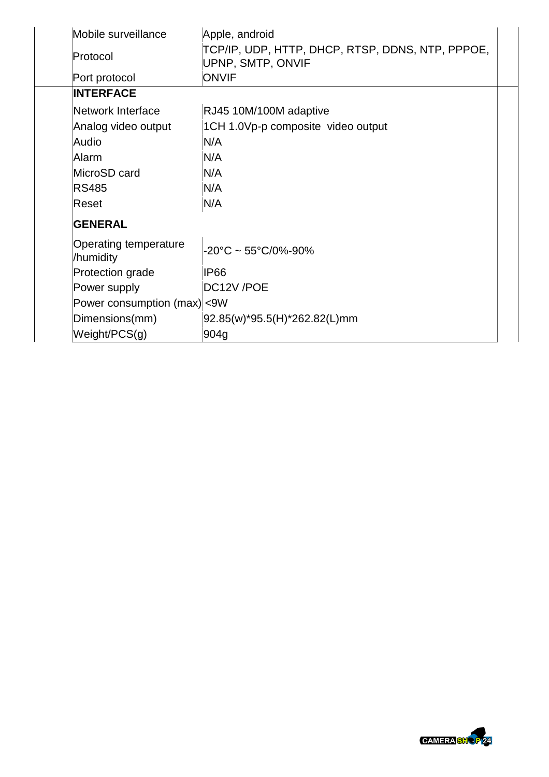| Mobile surveillance                       | Apple, android                                                        |  |
|-------------------------------------------|-----------------------------------------------------------------------|--|
| Protocol                                  | TCP/IP, UDP, HTTP, DHCP, RTSP, DDNS, NTP, PPPOE,<br>UPNP, SMTP, ONVIF |  |
| Port protocol                             | <b>ONVIF</b>                                                          |  |
| <b>INTERFACE</b>                          |                                                                       |  |
| Network Interface                         | RJ45 10M/100M adaptive                                                |  |
| Analog video output                       | 1CH 1.0Vp-p composite video output                                    |  |
| Audio                                     | N/A                                                                   |  |
| Alarm                                     | N/A                                                                   |  |
| MicroSD card                              | N/A                                                                   |  |
| <b>RS485</b>                              | N/A                                                                   |  |
| Reset                                     | N/A                                                                   |  |
| <b>GENERAL</b>                            |                                                                       |  |
| <b>Operating temperature</b><br>/humidity | $-20^{\circ}$ C ~ 55°C/0%-90%                                         |  |
| Protection grade                          | IP66                                                                  |  |
| Power supply                              | DC12V/POE                                                             |  |
| Power consumption (max) < 9W              |                                                                       |  |
| Dimensions(mm)                            | 92.85(w)*95.5(H)*262.82(L)mm                                          |  |
| Weight/PCS(g)                             | 904g                                                                  |  |